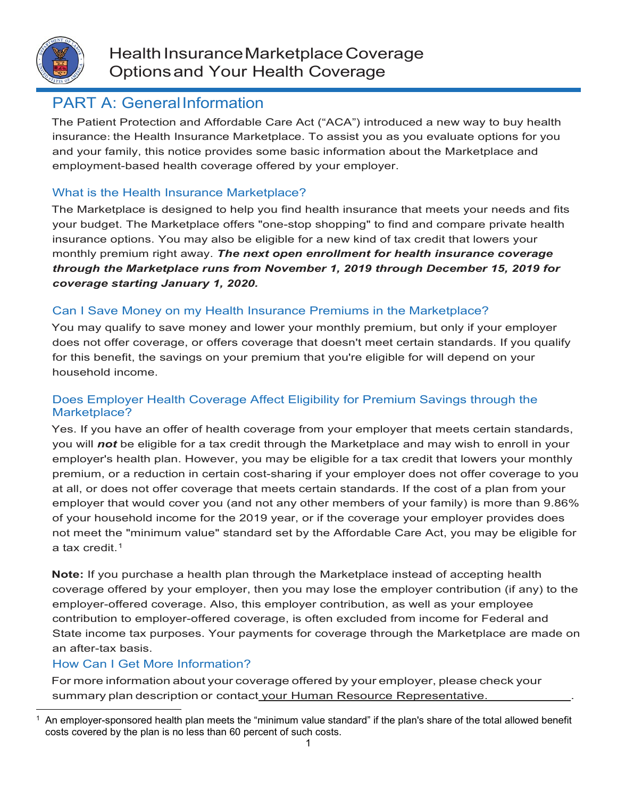

# Health Insurance Marketplace Coverage Optionsand Your Health Coverage

# **PART A: GeneralInformation**

The Patient Protection and Affordable Care Act ("ACA") introduced a new way to buy health insurance: the Health Insurance Marketplace. To assist you as you evaluate options for you and your family, this notice provides some basic information about the Marketplace and employment-based health coverage offered by your employer.

## What is the Health Insurance Marketplace?

The Marketplace is designed to help you find health insurance that meets your needs and fits your budget. The Marketplace offers "one-stop shopping" to find and compare private health insurance options. You may also be eligible for a new kind of tax credit that lowers your monthly premium right away. *The next open enrollment for health insurance coverage through the Marketplace runs from November 1, 2019 through December 15, 2019 for coverage starting January 1, 2020.*

## Can I Save Money on my Health Insurance Premiums in the Marketplace?

You may qualify to save money and lower your monthly premium, but only if your employer does not offer coverage, or offers coverage that doesn't meet certain standards. If you qualify for this benefit, the savings on your premium that you're eligible for will depend on your household income.

#### Does Employer Health Coverage Affect Eligibility for Premium Savings through the Marketplace?

Yes. If you have an offer of health coverage from your employer that meets certain standards, you will *not* be eligible for a tax credit through the Marketplace and may wish to enroll in your employer's health plan. However, you may be eligible for a tax credit that lowers your monthly premium, or a reduction in certain cost-sharing if your employer does not offer coverage to you at all, or does not offer coverage that meets certain standards. If the cost of a plan from your employer that would cover you (and not any other members of your family) is more than 9.86% of your household income for the 2019 year, or if the coverage your employer provides does not meet the "minimum value" standard set by the Affordable Care Act, you may be eligible for a tax credit. $1$ 

**Note:** If you purchase a health plan through the Marketplace instead of accepting health coverage offered by your employer, then you may lose the employer contribution (if any) to the employer-offered coverage. Also, this employer contribution, as well as your employee contribution to employer-offered coverage, is often excluded from income for Federal and State income tax purposes. Your payments for coverage through the Marketplace are made on an after-tax basis.

## How Can I Get More Information?

For more information about your coverage offered by your employer, please check your summary plan description or contact your Human Resource Representative.

<span id="page-0-0"></span> $\overline{a}$ <sup>1</sup> An employer-sponsored health plan meets the "minimum value standard" if the plan's share of the total allowed benefit costs covered by the plan is no less than 60 percent of such costs.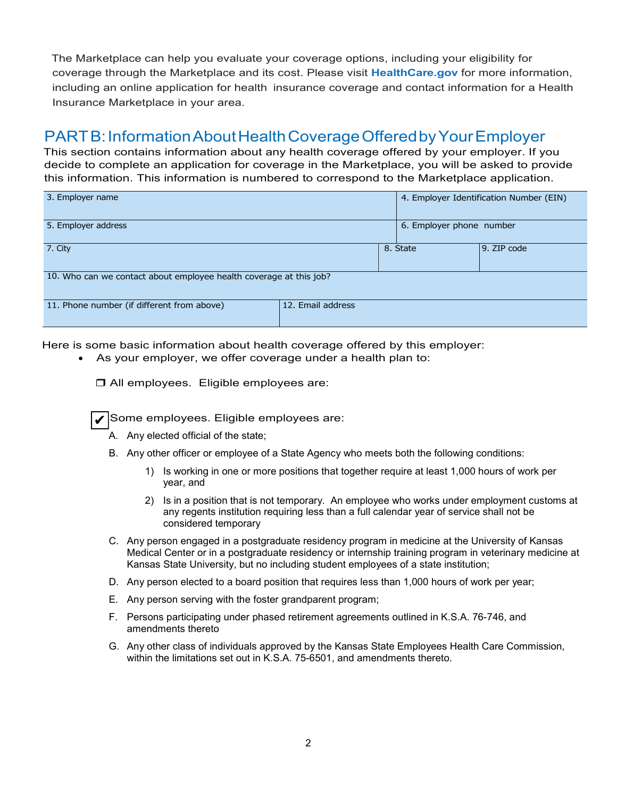The Marketplace can help you evaluate your coverage options, including your eligibility for coverage through the Marketplace and its cost. Please visit **HealthCare.gov** for more information, including an online application for health insurance coverage and contact information for a Health Insurance Marketplace in your area.

## PART B: Information About Health Coverage Offered by Your Employer

This section contains information about any health coverage offered by your employer. If you decide to complete an application for coverage in the Marketplace, you will be asked to provide this information. This information is numbered to correspond to the Marketplace application.

| 3. Employer name                                                   |                   |          | 4. Employer Identification Number (EIN) |               |
|--------------------------------------------------------------------|-------------------|----------|-----------------------------------------|---------------|
| 5. Employer address                                                |                   |          | 6. Employer phone number                |               |
| 7. City                                                            |                   | 8. State |                                         | $9.$ ZIP code |
| 10. Who can we contact about employee health coverage at this job? |                   |          |                                         |               |
| 11. Phone number (if different from above)                         | 12. Email address |          |                                         |               |

Here is some basic information about health coverage offered by this employer:

As your employer, we offer coverage under a health plan to:

□ All employees. Eligible employees are:

 $\blacktriangledown$ Some employees. Eligible employees are:

- A. Any elected official of the state;
- B. Any other officer or employee of a State Agency who meets both the following conditions:
	- 1) Is working in one or more positions that together require at least 1,000 hours of work per year, and
	- 2) Is in a position that is not temporary. An employee who works under employment customs at any regents institution requiring less than a full calendar year of service shall not be considered temporary
- C. Any person engaged in a postgraduate residency program in medicine at the University of Kansas Medical Center or in a postgraduate residency or internship training program in veterinary medicine at Kansas State University, but no including student employees of a state institution;
- D. Any person elected to a board position that requires less than 1,000 hours of work per year;
- E. Any person serving with the foster grandparent program;
- F. Persons participating under phased retirement agreements outlined in K.S.A. 76-746, and amendments thereto
- G. Any other class of individuals approved by the Kansas State Employees Health Care Commission, within the limitations set out in K.S.A. 75-6501, and amendments thereto.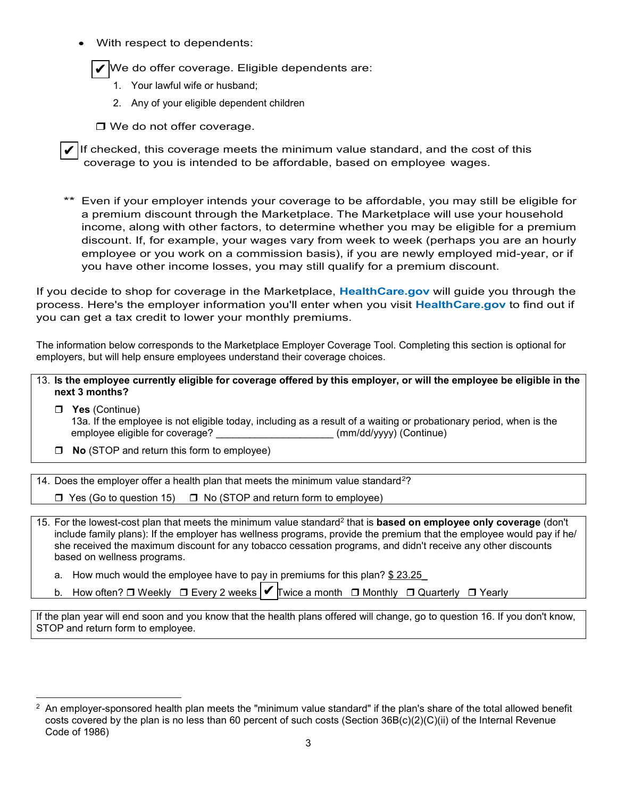With respect to dependents:

 $\blacktriangleright$  We do offer coverage. Eligible dependents are:

- 1. Your lawful wife or husband;
- 2. Any of your eligible dependent children

□ We do not offer coverage.

If checked, this coverage meets the minimum value standard, and the cost of this coverage to you is intended to be affordable, based on employee wages. ✔

Even if your employer intends your coverage to be affordable, you may still be eligible for a premium discount through the Marketplace. The Marketplace will use your household income, along with other factors, to determine whether you may be eligible for a premium discount. If, for example, your wages vary from week to week (perhaps you are an hourly employee or you work on a commission basis), if you are newly employed mid-year, or if you have other income losses, you may still qualify for a premium discount.

If you decide to shop for coverage in the Marketplace, **HealthCare.gov** will guide you through the process. Here's the employer information you'll enter when you visit **HealthCare.gov** to find out if you can get a tax credit to lower your monthly premiums.

The information below corresponds to the Marketplace Employer Coverage Tool. Completing this section is optional for employers, but will help ensure employees understand their coverage choices.

13. **Is the employee currently eligible for coverage offered by this employer, or will the employee be eligible in the next 3 months?**

 **Yes** (Continue) 13a. If the employee is not eligible today, including as a result of a waiting or probationary period, when is the employee eligible for coverage?  $(mm/dd/yyy)$  (Continue)

**No** (STOP and return this form to employee)

14. Does the employer offer a health plan that meets the minimum value standard<sup>2</sup>?

 $\Box$  Yes (Go to question 15)  $\Box$  No (STOP and return form to employee)

15. For the lowest-cost plan that meets the minimum value standard2 that is **based on employee only coverage** (don't include family plans): If the employer has wellness programs, provide the premium that the employee would pay if he/ she received the maximum discount for any tobacco cessation programs, and didn't receive any other discounts based on wellness programs.

- a. How much would the employee have to pay in premiums for this plan? \$ 23.25\_
- b. How often?  $\Box$  Weekly  $\Box$  Every 2 weeks  $\blacktriangleright$  Twice a month  $\Box$  Monthly  $\Box$  Quarterly  $\Box$  Yearly

If the plan year will end soon and you know that the health plans offered will change, go to question 16. If you don't know, STOP and return form to employee.

<span id="page-2-0"></span> $\overline{a}$ <sup>2</sup> An employer-sponsored health plan meets the "minimum value standard" if the plan's share of the total allowed benefit costs covered by the plan is no less than 60 percent of such costs (Section 36B(c)(2)(C)(ii) of the Internal Revenue Code of 1986)